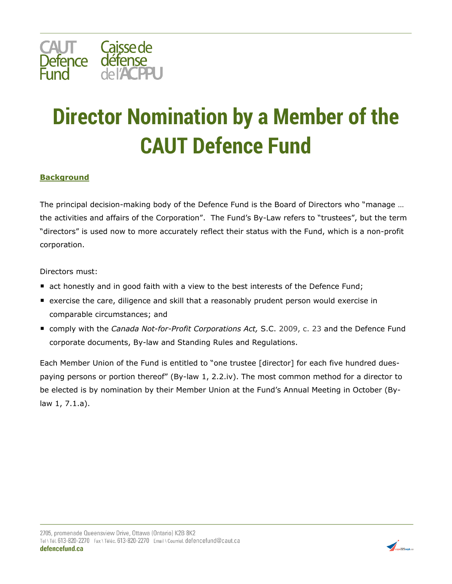

## **Director Nomination by a Member of the CAUT Defence Fund**

## **Background**

The principal decision-making body of the Defence Fund is the Board of Directors who "manage … the activities and affairs of the Corporation". The Fund's By-Law refers to "trustees", but the term "directors" is used now to more accurately reflect their status with the Fund, which is a non-profit corporation.

Directors must:

- act honestly and in good faith with a view to the best interests of the Defence Fund;
- exercise the care, diligence and skill that a reasonably prudent person would exercise in comparable circumstances; and
- comply with the *Canada Not-for-Profit Corporations Act*, S.C. 2009, c. 23 and the Defence Fund corporate documents, By-law and Standing Rules and Regulations.

Each Member Union of the Fund is entitled to "one trustee [director] for each five hundred duespaying persons or portion thereof" (By-law 1, 2.2.iv). The most common method for a director to be elected is by nomination by their Member Union at the Fund's Annual Meeting in October (Bylaw 1, 7.1.a).